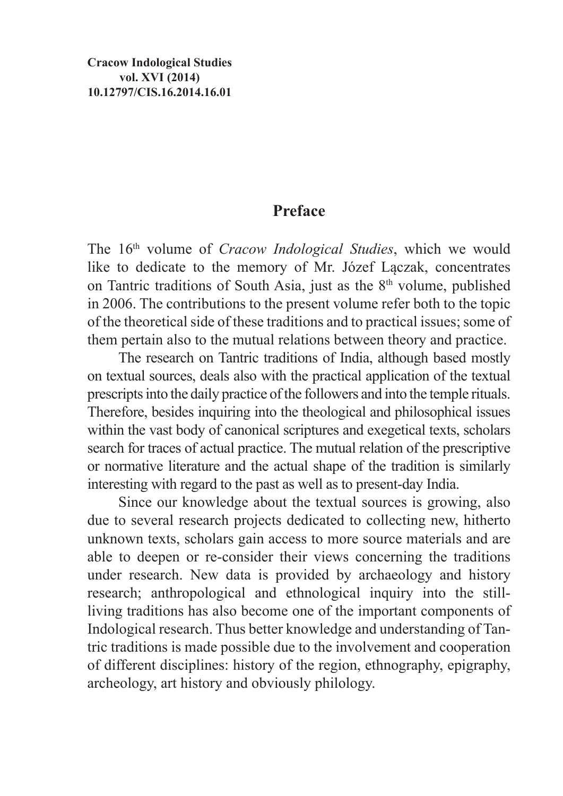## **Preface**

The 16th volume of *Cracow Indological Studies*, which we would like to dedicate to the memory of Mr. Józef Lączak, concentrates on Tantric traditions of South Asia, just as the 8<sup>th</sup> volume, published in 2006. The contributions to the present volume refer both to the topic of the theoretical side of these traditions and to practical issues; some of them pertain also to the mutual relations between theory and practice.

The research on Tantric traditions of India, although based mostly on textual sources, deals also with the practical application of the textual prescripts into the daily practice of the followers and into the temple rituals. Therefore, besides inquiring into the theological and philosophical issues within the vast body of canonical scriptures and exegetical texts, scholars search for traces of actual practice. The mutual relation of the prescriptive or normative literature and the actual shape of the tradition is similarly interesting with regard to the past as well as to present-day India.

Since our knowledge about the textual sources is growing, also due to several research projects dedicated to collecting new, hitherto unknown texts, scholars gain access to more source materials and are able to deepen or re-consider their views concerning the traditions under research. New data is provided by archaeology and history research; anthropological and ethnological inquiry into the stillliving traditions has also become one of the important components of Indological research. Thus better knowledge and understanding of Tantric traditions is made possible due to the involvement and cooperation of different disciplines: history of the region, ethnography, epigraphy, archeology, art history and obviously philology.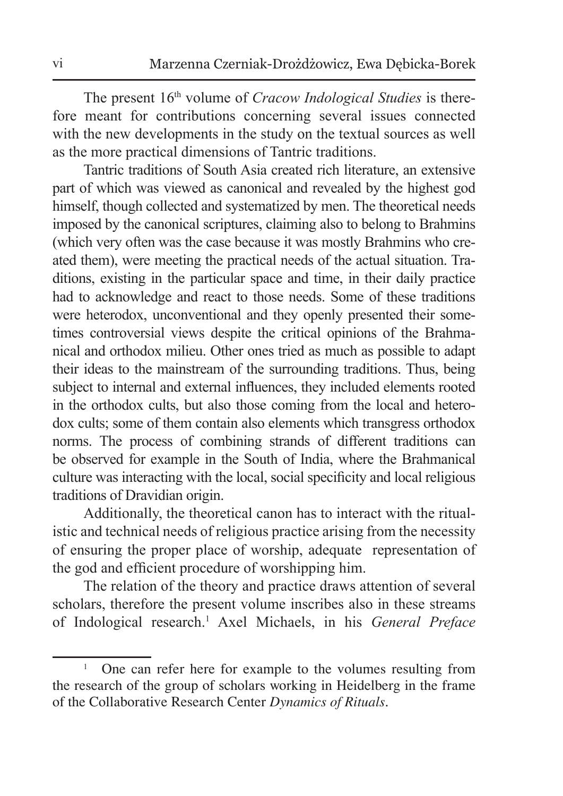The present 16th volume of *Cracow Indological Studies* is therefore meant for contributions concerning several issues connected with the new developments in the study on the textual sources as well as the more practical dimensions of Tantric traditions.

Tantric traditions of South Asia created rich literature, an extensive part of which was viewed as canonical and revealed by the highest god himself, though collected and systematized by men. The theoretical needs imposed by the canonical scriptures, claiming also to belong to Brahmins (which very often was the case because it was mostly Brahmins who created them), were meeting the practical needs of the actual situation. Traditions, existing in the particular space and time, in their daily practice had to acknowledge and react to those needs. Some of these traditions were heterodox, unconventional and they openly presented their sometimes controversial views despite the critical opinions of the Brahmanical and orthodox milieu. Other ones tried as much as possible to adapt their ideas to the mainstream of the surrounding traditions. Thus, being subject to internal and external influences, they included elements rooted in the orthodox cults, but also those coming from the local and heterodox cults; some of them contain also elements which transgress orthodox norms. The process of combining strands of different traditions can be observed for example in the South of India, where the Brahmanical culture was interacting with the local, social specificity and local religious traditions of Dravidian origin.

Additionally, the theoretical canon has to interact with the ritualistic and technical needs of religious practice arising from the necessity of ensuring the proper place of worship, adequate representation of the god and efficient procedure of worshipping him.

The relation of the theory and practice draws attention of several scholars, therefore the present volume inscribes also in these streams of Indological research.1 Axel Michaels, in his *General Preface* 

<sup>1</sup> One can refer here for example to the volumes resulting from the research of the group of scholars working in Heidelberg in the frame of the Collaborative Research Center *Dynamics of Rituals*.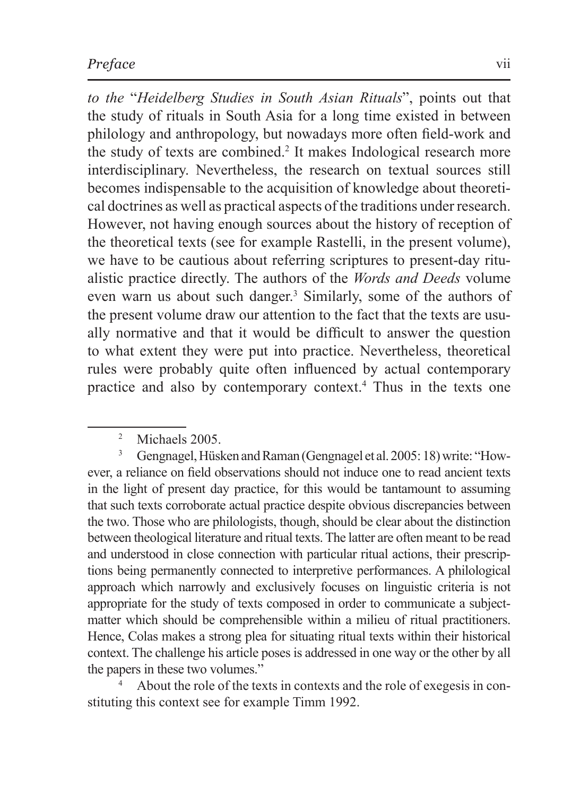*to the* "*Heidelberg Studies in South Asian Rituals*", points out that the study of rituals in South Asia for a long time existed in between philology and anthropology, but nowadays more often field-work and the study of texts are combined.<sup>2</sup> It makes Indological research more interdisciplinary. Nevertheless, the research on textual sources still becomes indispensable to the acquisition of knowledge about theoretical doctrines as well as practical aspects of the traditions under research. However, not having enough sources about the history of reception of the theoretical texts (see for example Rastelli, in the present volume), we have to be cautious about referring scriptures to present-day ritualistic practice directly. The authors of the *Words and Deeds* volume even warn us about such danger.<sup>3</sup> Similarly, some of the authors of the present volume draw our attention to the fact that the texts are usually normative and that it would be difficult to answer the question to what extent they were put into practice. Nevertheless, theoretical rules were probably quite often influenced by actual contemporary practice and also by contemporary context.4 Thus in the texts one

<sup>3</sup> Gengnagel, Hüsken and Raman (Gengnagel et al. 2005: 18) write: "However, a reliance on field observations should not induce one to read ancient texts in the light of present day practice, for this would be tantamount to assuming that such texts corroborate actual practice despite obvious discrepancies between the two. Those who are philologists, though, should be clear about the distinction between theological literature and ritual texts. The latter are often meant to be read and understood in close connection with particular ritual actions, their prescriptions being permanently connected to interpretive performances. A philological approach which narrowly and exclusively focuses on linguistic criteria is not appropriate for the study of texts composed in order to communicate a subjectmatter which should be comprehensible within a milieu of ritual practitioners. Hence, Colas makes a strong plea for situating ritual texts within their historical context. The challenge his article poses is addressed in one way or the other by all the papers in these two volumes."

<sup>4</sup> About the role of the texts in contexts and the role of exegesis in constituting this context see for example Timm 1992.

<sup>&</sup>lt;sup>2</sup> Michaels 2005.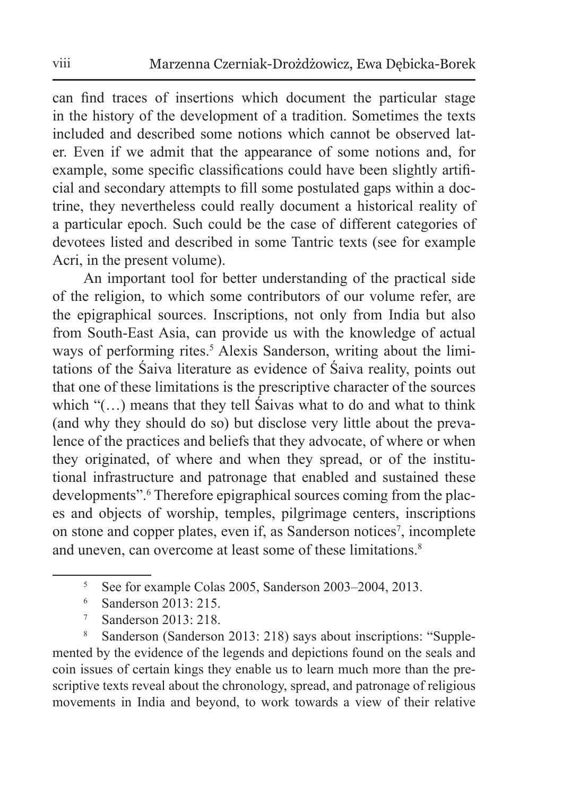can find traces of insertions which document the particular stage in the history of the development of a tradition. Sometimes the texts included and described some notions which cannot be observed later. Even if we admit that the appearance of some notions and, for example, some specific classifications could have been slightly artificial and secondary attempts to fill some postulated gaps within a doctrine, they nevertheless could really document a historical reality of a particular epoch. Such could be the case of different categories of devotees listed and described in some Tantric texts (see for example Acri, in the present volume).

An important tool for better understanding of the practical side of the religion, to which some contributors of our volume refer, are the epigraphical sources. Inscriptions, not only from India but also from South-East Asia, can provide us with the knowledge of actual ways of performing rites.<sup>5</sup> Alexis Sanderson, writing about the limitations of the Śaiva literature as evidence of Śaiva reality, points out that one of these limitations is the prescriptive character of the sources which "(...) means that they tell Saivas what to do and what to think (and why they should do so) but disclose very little about the prevalence of the practices and beliefs that they advocate, of where or when they originated, of where and when they spread, or of the institutional infrastructure and patronage that enabled and sustained these developments".<sup>6</sup> Therefore epigraphical sources coming from the places and objects of worship, temples, pilgrimage centers, inscriptions on stone and copper plates, even if, as Sanderson notices<sup>7</sup>, incomplete and uneven, can overcome at least some of these limitations.<sup>8</sup>

- <sup>6</sup> Sanderson 2013: 215.
- <sup>7</sup> Sanderson 2013: 218.

<sup>8</sup> Sanderson (Sanderson 2013: 218) says about inscriptions: "Supplemented by the evidence of the legends and depictions found on the seals and coin issues of certain kings they enable us to learn much more than the prescriptive texts reveal about the chronology, spread, and patronage of religious movements in India and beyond, to work towards a view of their relative

<sup>5</sup> See for example Colas 2005, Sanderson 2003–2004, 2013.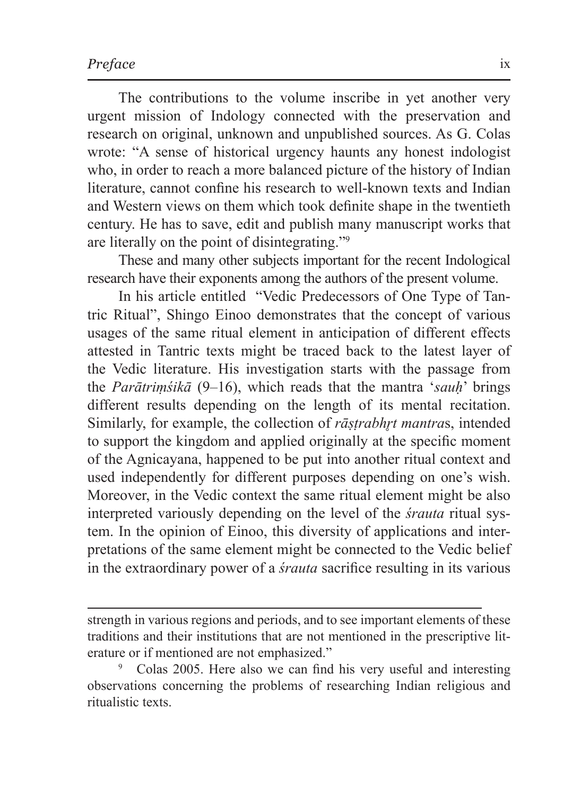The contributions to the volume inscribe in yet another very urgent mission of Indology connected with the preservation and research on original, unknown and unpublished sources. As G. Colas wrote: "A sense of historical urgency haunts any honest indologist who, in order to reach a more balanced picture of the history of Indian literature, cannot confine his research to well-known texts and Indian and Western views on them which took definite shape in the twentieth century. He has to save, edit and publish many manuscript works that are literally on the point of disintegrating."9

These and many other subjects important for the recent Indological research have their exponents among the authors of the present volume.

In his article entitled "Vedic Predecessors of One Type of Tantric Ritual", Shingo Einoo demonstrates that the concept of various usages of the same ritual element in anticipation of different effects attested in Tantric texts might be traced back to the latest layer of the Vedic literature. His investigation starts with the passage from the *Parātriṃśikā* (9–16), which reads that the mantra '*sauḥ*' brings different results depending on the length of its mental recitation. Similarly, for example, the collection of *rāstrabhrt mantras*, intended to support the kingdom and applied originally at the specific moment of the Agnicayana, happened to be put into another ritual context and used independently for different purposes depending on one's wish. Moreover, in the Vedic context the same ritual element might be also interpreted variously depending on the level of the *śrauta* ritual system. In the opinion of Einoo, this diversity of applications and interpretations of the same element might be connected to the Vedic belief in the extraordinary power of a *śrauta* sacrifice resulting in its various

strength in various regions and periods, and to see important elements of these traditions and their institutions that are not mentioned in the prescriptive literature or if mentioned are not emphasized."

<sup>9</sup> Colas 2005. Here also we can find his very useful and interesting observations concerning the problems of researching Indian religious and ritualistic texts.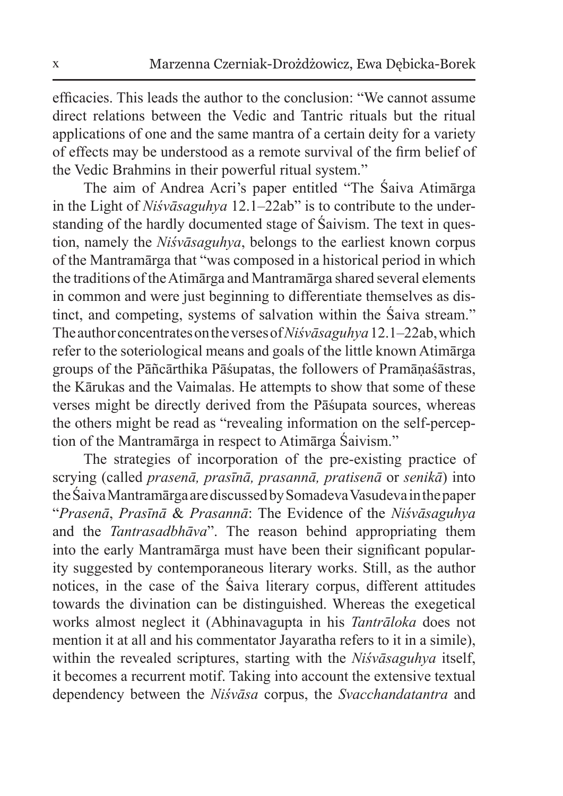efficacies. This leads the author to the conclusion: "We cannot assume direct relations between the Vedic and Tantric rituals but the ritual applications of one and the same mantra of a certain deity for a variety of effects may be understood as a remote survival of the firm belief of the Vedic Brahmins in their powerful ritual system."

The aim of Andrea Acri's paper entitled "The Śaiva Atimārga in the Light of *Niśvāsaguhya* 12.1–22ab" is to contribute to the understanding of the hardly documented stage of Śaivism. The text in question, namely the *Niśvāsaguhya*, belongs to the earliest known corpus of the Mantramārga that "was composed in a historical period in which the traditions of the Atimārga and Mantramārga shared several elements in common and were just beginning to differentiate themselves as distinct, and competing, systems of salvation within the Śaiva stream." Theauthor concentrates ontheverses of *Niśvāsaguhya* 12.1–22ab, which refer to the soteriological means and goals of the little known Atimārga groups of the Pāñcārthika Pāśupatas, the followers of Pramāṇaśāstras, the Kārukas and the Vaimalas. He attempts to show that some of these verses might be directly derived from the Pāśupata sources, whereas the others might be read as "revealing information on the self-perception of the Mantramārga in respect to Atimārga Śaivism."

The strategies of incorporation of the pre-existing practice of scrying (called *prasenā, prasīnā, prasannā, pratisenā* or *senikā*) into theŚaiva Mantramārga are discussed by Somadeva Vasudeva inthepaper "*Prasenā*, *Prasīnā* & *Prasannā*: The Evidence of the *Niśvāsaguhya* and the *Tantrasadbhāva*". The reason behind appropriating them into the early Mantramārga must have been their significant popularity suggested by contemporaneous literary works. Still, as the author notices, in the case of the Śaiva literary corpus, different attitudes towards the divination can be distinguished. Whereas the exegetical works almost neglect it (Abhinavagupta in his *Tantrāloka* does not mention it at all and his commentator Jayaratha refers to it in a simile), within the revealed scriptures, starting with the *Niśvāsaguhya* itself, it becomes a recurrent motif. Taking into account the extensive textual dependency between the *Niśvāsa* corpus, the *Svacchandatantra* and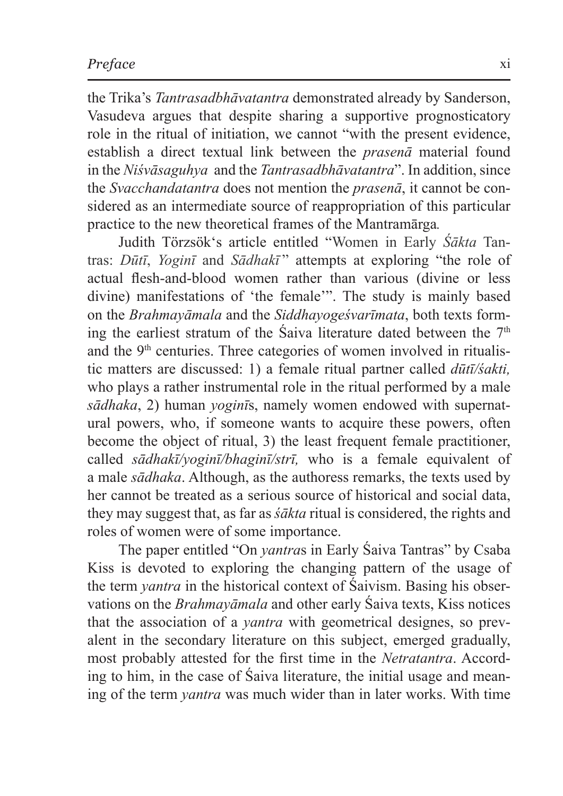the Trika's *Tantrasadbhāvatantra* demonstrated already by Sanderson, Vasudeva argues that despite sharing a supportive prognosticatory role in the ritual of initiation, we cannot "with the present evidence, establish a direct textual link between the *prasenā* material found in the *Niśvāsaguhya* and the *Tantrasadbhāvatantra*". In addition, since the *Svacchandatantra* does not mention the *prasenā*, it cannot be considered as an intermediate source of reappropriation of this particular practice to the new theoretical frames of the Mantramārga*.* 

Judith Törzsök's article entitled "Women in Early *Śākta* Tantras: *Dūtī*, *Yoginī* and *Sādhakī* " attempts at exploring "the role of actual flesh-and-blood women rather than various (divine or less divine) manifestations of 'the female'". The study is mainly based on the *Brahmayāmala* and the *Siddhayogeśvarīmata*, both texts forming the earliest stratum of the Saiva literature dated between the  $7<sup>th</sup>$ and the  $9<sup>th</sup>$  centuries. Three categories of women involved in ritualistic matters are discussed: 1) a female ritual partner called *dūtī/śakti,*  who plays a rather instrumental role in the ritual performed by a male *sādhaka*, 2) human *yoginī*s, namely women endowed with supernatural powers, who, if someone wants to acquire these powers, often become the object of ritual, 3) the least frequent female practitioner, called *sādhakī/yoginī/bhaginī/strī,* who is a female equivalent of a male *sādhaka*. Although, as the authoress remarks, the texts used by her cannot be treated as a serious source of historical and social data, they may suggest that, as far as *śākta* ritual is considered, the rights and roles of women were of some importance.

The paper entitled "On *yantra*s in Early Śaiva Tantras" by Csaba Kiss is devoted to exploring the changing pattern of the usage of the term *yantra* in the historical context of Śaivism. Basing his observations on the *Brahmayāmala* and other early Śaiva texts, Kiss notices that the association of a *yantra* with geometrical designes, so prevalent in the secondary literature on this subject, emerged gradually, most probably attested for the first time in the *Netratantra*. According to him, in the case of Śaiva literature, the initial usage and meaning of the term *yantra* was much wider than in later works. With time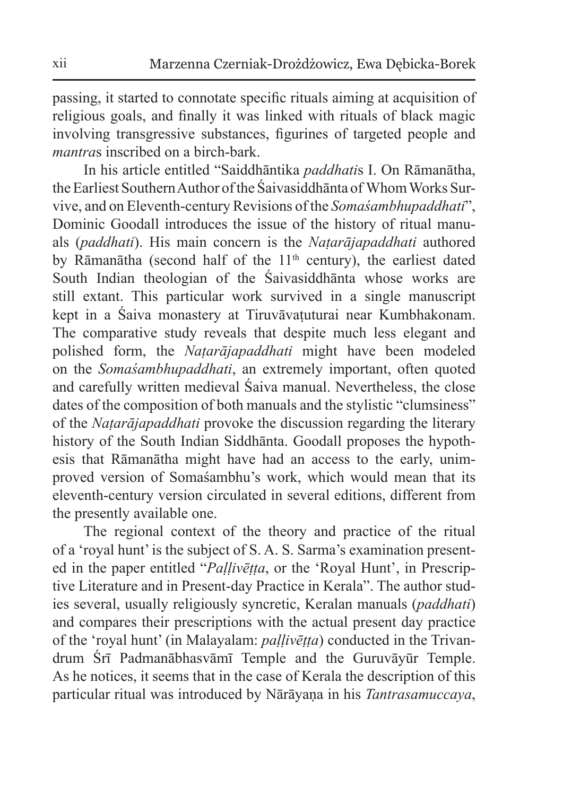passing, it started to connotate specific rituals aiming at acquisition of religious goals, and finally it was linked with rituals of black magic involving transgressive substances, figurines of targeted people and *mantra*s inscribed on a birch-bark.

In his article entitled "Saiddhāntika *paddhati*s I. On Rāmanātha, theEarliest Southern Author of the Śaivasiddhānta of Whom Works Survive, and on Eleventh-century Revisions of the *Somaśambhupaddhati*", Dominic Goodall introduces the issue of the history of ritual manuals (*paddhati*). His main concern is the *Naṭarājapaddhati* authored by Rāmanātha (second half of the  $11<sup>th</sup>$  century), the earliest dated South Indian theologian of the Śaivasiddhānta whose works are still extant. This particular work survived in a single manuscript kept in a Śaiva monastery at Tiruvāvaṭuturai near Kumbhakonam. The comparative study reveals that despite much less elegant and polished form, the *Naṭarājapaddhati* might have been modeled on the *Somaśambhupaddhati*, an extremely important, often quoted and carefully written medieval Śaiva manual. Nevertheless, the close dates of the composition of both manuals and the stylistic "clumsiness" of the *Naṭarājapaddhati* provoke the discussion regarding the literary history of the South Indian Siddhānta. Goodall proposes the hypothesis that Rāmanātha might have had an access to the early, unimproved version of Somaśambhu's work, which would mean that its eleventh-century version circulated in several editions, different from the presently available one.

The regional context of the theory and practice of the ritual of a 'royal hunt' is the subject of S. A. S. Sarma's examination presented in the paper entitled "*Paḷḷivēṭṭa*, or the 'Royal Hunt', in Prescriptive Literature and in Present-day Practice in Kerala". The author studies several, usually religiously syncretic, Keralan manuals (*paddhati*) and compares their prescriptions with the actual present day practice of the 'royal hunt' (in Malayalam: *paḷḷivēṭṭa*) conducted in the Trivandrum Śrī Padmanābhasvāmī Temple and the Guruvāyūr Temple. As he notices, it seems that in the case of Kerala the description of this particular ritual was introduced by Nārāyaṇa in his *Tantrasamuccaya*,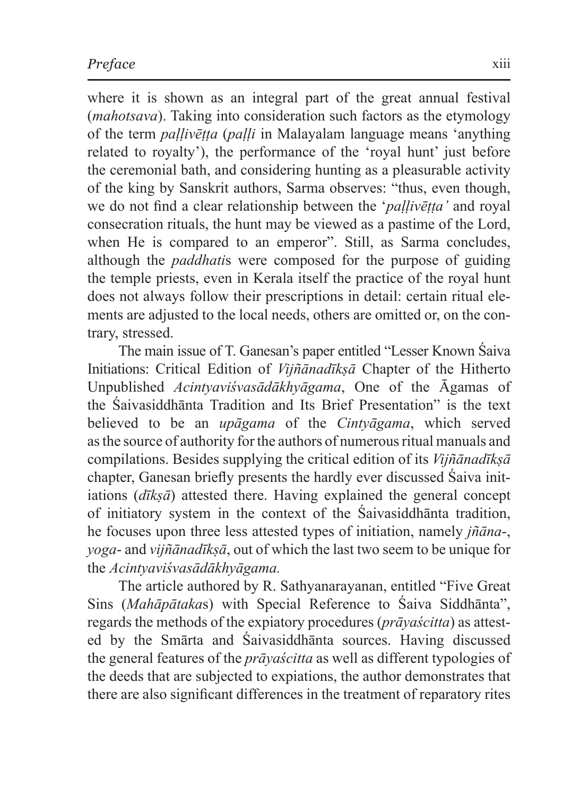where it is shown as an integral part of the great annual festival (*mahotsava*). Taking into consideration such factors as the etymology of the term *paḷḷivēṭṭa* (*paḷḷi* in Malayalam language means 'anything related to royalty'), the performance of the 'royal hunt' just before the ceremonial bath, and considering hunting as a pleasurable activity of the king by Sanskrit authors, Sarma observes: "thus, even though, we do not find a clear relationship between the '*paḷḷivēṭṭa'* and royal consecration rituals, the hunt may be viewed as a pastime of the Lord, when He is compared to an emperor". Still, as Sarma concludes, although the *paddhati*s were composed for the purpose of guiding the temple priests, even in Kerala itself the practice of the royal hunt does not always follow their prescriptions in detail: certain ritual elements are adjusted to the local needs, others are omitted or, on the contrary, stressed.

The main issue of T. Ganesan's paper entitled "Lesser Known Śaiva Initiations: Critical Edition of *Vijñānadīkṣā* Chapter of the Hitherto Unpublished *Acintyaviśvasādākhyāgama*, One of the Āgamas of the Śaivasiddhānta Tradition and Its Brief Presentation" is the text believed to be an *upāgama* of the *Cintyāgama*, which served asthe source of authority for the authors of numerous ritual manuals and compilations. Besides supplying the critical edition of its *Vijñānadīkṣā* chapter, Ganesan briefly presents the hardly ever discussed Śaiva initiations (*dīkṣā*) attested there. Having explained the general concept of initiatory system in the context of the Śaivasiddhānta tradition, he focuses upon three less attested types of initiation, namely *jñāna*-, *yoga*- and *vijñānadīkṣā*, out of which the last two seem to be unique for the *Acintyaviśvasādākhyāgama.* 

The article authored by R. Sathyanarayanan, entitled "Five Great Sins (*Mahāpātaka*s) with Special Reference to Śaiva Siddhānta", regards the methods of the expiatory procedures (*prāyaścitta*) as attested by the Smārta and Śaivasiddhānta sources. Having discussed the general features of the *prāyaścitta* as well as different typologies of the deeds that are subjected to expiations, the author demonstrates that there are also significant differences in the treatment of reparatory rites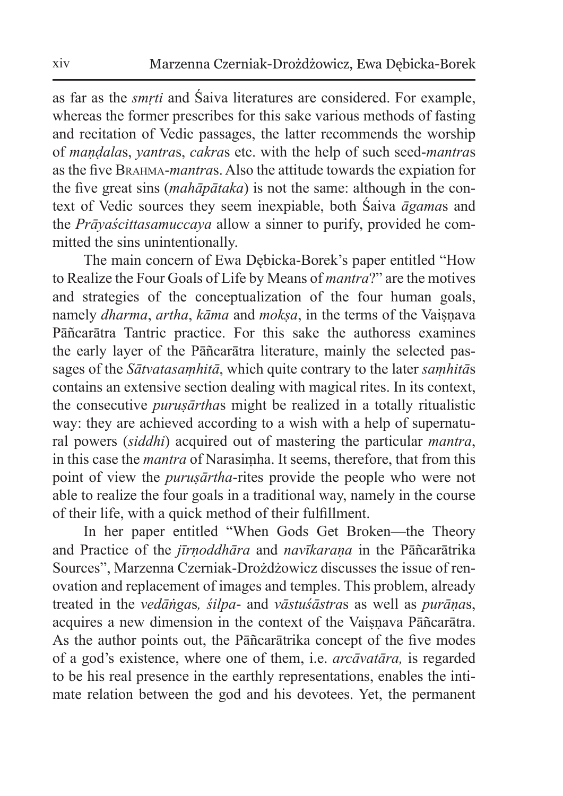as far as the *smṛti* and Śaiva literatures are considered. For example, whereas the former prescribes for this sake various methods of fasting and recitation of Vedic passages, the latter recommends the worship of *maṇḍala*s, *yantra*s, *cakra*s etc. with the help of such seed-*mantra*s as the five Brahma-*mantra*s. Also the attitude towards the expiation for the five great sins (*mahāpātaka*) is not the same: although in the context of Vedic sources they seem inexpiable, both Śaiva *āgama*s and the *Prāyaścittasamuccaya* allow a sinner to purify, provided he committed the sins unintentionally.

The main concern of Ewa Dębicka-Borek's paper entitled "How to Realize the Four Goals of Life by Means of *mantra*?" are the motives and strategies of the conceptualization of the four human goals, namely *dharma*, *artha*, *kāma* and *moksa*, in the terms of the Vaisnava Pāñcarātra Tantric practice. For this sake the authoress examines the early layer of the Pāñcarātra literature, mainly the selected passages of the *Sātvatasaṃhitā*, which quite contrary to the later *saṃhitā*s contains an extensive section dealing with magical rites. In its context, the consecutive *puruṣārtha*s might be realized in a totally ritualistic way: they are achieved according to a wish with a help of supernatural powers (*siddhi*) acquired out of mastering the particular *mantra*, in this case the *mantra* of Narasiṃha. It seems, therefore, that from this point of view the *puruṣārtha*-rites provide the people who were not able to realize the four goals in a traditional way, namely in the course of their life, with a quick method of their fulfillment.

In her paper entitled "When Gods Get Broken—the Theory and Practice of the *jīrṇoddhāra* and *navīkaraṇa* in the Pāñcarātrika Sources", Marzenna Czerniak-Drożdżowicz discusses the issue of renovation and replacement of images and temples. This problem, already treated in the *vedāṅga*s*, śilpa*- and *vāstuśāstra*s as well as *purāṇa*s, acquires a new dimension in the context of the Vaisnava Pāñcarātra. As the author points out, the Pāñcarātrika concept of the five modes of a god's existence, where one of them, i.e. *arcāvatāra,* is regarded to be his real presence in the earthly representations, enables the intimate relation between the god and his devotees. Yet, the permanent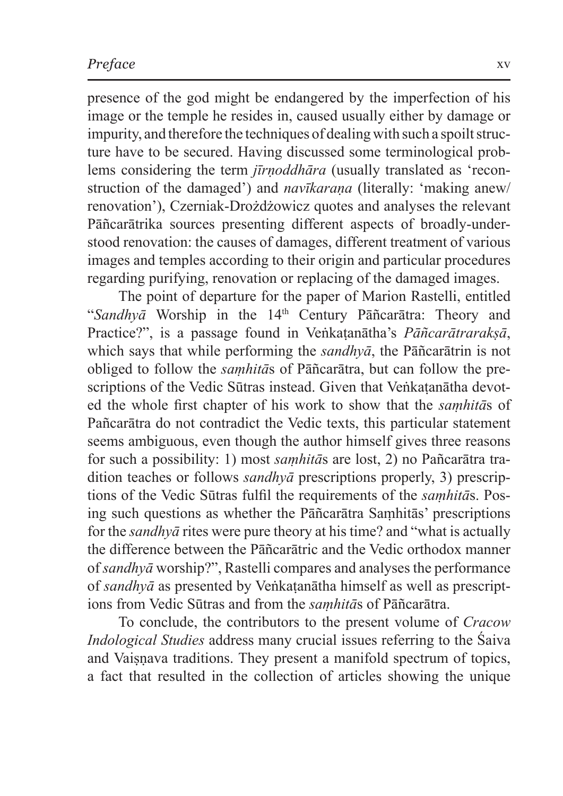presence of the god might be endangered by the imperfection of his image or the temple he resides in, caused usually either by damage or impurity, and therefore the techniques of dealing with such a spoilt structure have to be secured. Having discussed some terminological problems considering the term *jīrṇoddhāra* (usually translated as 'reconstruction of the damaged') and *navīkarana* (literally: 'making anew/ renovation'), Czerniak-Drożdżowicz quotes and analyses the relevant Pāñcarātrika sources presenting different aspects of broadly-understood renovation: the causes of damages, different treatment of various images and temples according to their origin and particular procedures regarding purifying, renovation or replacing of the damaged images.

The point of departure for the paper of Marion Rastelli, entitled "*Sandhyā* Worship in the 14<sup>th</sup> Century Pāñcarātra: Theory and Practice?", is a passage found in Veṅkaṭanātha's *Pāñcarātrarakṣā*, which says that while performing the *sandhyā*, the Pāñcarātrin is not obliged to follow the *saṃhitā*s of Pāñcarātra, but can follow the prescriptions of the Vedic Sūtras instead. Given that Veṅkatanātha devoted the whole first chapter of his work to show that the *saṃhitā*s of Pañcarātra do not contradict the Vedic texts, this particular statement seems ambiguous, even though the author himself gives three reasons for such a possibility: 1) most *saṃhitā*s are lost, 2) no Pañcarātra tradition teaches or follows *sandhyā* prescriptions properly, 3) prescriptions of the Vedic Sūtras fulfil the requirements of the *saṃhitā*s. Posing such questions as whether the Pāñcarātra Saṃhitās' prescriptions for the *sandhyā* rites were pure theory at his time? and "what is actually the difference between the Pāñcarātric and the Vedic orthodox manner of *sandhyā* worship?", Rastelli compares and analyses the performance of *sandhyā* as presented by Veṅkaṭanātha himself as well as prescriptions from Vedic Sūtras and from the *saṃhitā*s of Pāñcarātra.

To conclude, the contributors to the present volume of *Cracow Indological Studies* address many crucial issues referring to the Śaiva and Vaiṣṇava traditions. They present a manifold spectrum of topics, a fact that resulted in the collection of articles showing the unique